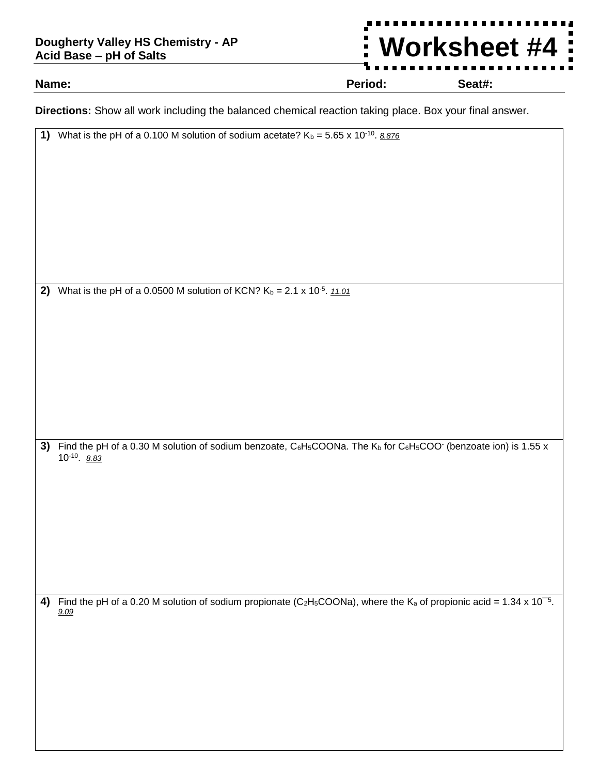| Dougherty Valley HS Chemistry - AP |
|------------------------------------|
| Acid Base – pH of Salts            |

## **Worksheet #4** $\overline{\phantom{a}}$ **Name: Period: Seat#:**

**Directions:** Show all work including the balanced chemical reaction taking place. Box your final answer.

| 1) | What is the pH of a 0.100 M solution of sodium acetate? $K_b = 5.65 \times 10^{-10}$ . 8.876                                                                                |
|----|-----------------------------------------------------------------------------------------------------------------------------------------------------------------------------|
|    |                                                                                                                                                                             |
|    |                                                                                                                                                                             |
|    |                                                                                                                                                                             |
|    |                                                                                                                                                                             |
|    |                                                                                                                                                                             |
|    |                                                                                                                                                                             |
|    |                                                                                                                                                                             |
| 2) | What is the pH of a 0.0500 M solution of KCN? $K_b = 2.1 \times 10^{-5}$ . 11.01                                                                                            |
|    |                                                                                                                                                                             |
|    |                                                                                                                                                                             |
|    |                                                                                                                                                                             |
|    |                                                                                                                                                                             |
|    |                                                                                                                                                                             |
|    |                                                                                                                                                                             |
|    |                                                                                                                                                                             |
| 3) | Find the pH of a 0.30 M solution of sodium benzoate, C6H <sub>5</sub> COONa. The K <sub>b</sub> for C6H <sub>5</sub> COO (benzoate ion) is 1.55 x<br>$10^{-10}$ . 8.83      |
|    |                                                                                                                                                                             |
|    |                                                                                                                                                                             |
|    |                                                                                                                                                                             |
|    |                                                                                                                                                                             |
|    |                                                                                                                                                                             |
|    |                                                                                                                                                                             |
|    |                                                                                                                                                                             |
| 4) | Find the pH of a 0.20 M solution of sodium propionate (C <sub>2</sub> H <sub>5</sub> COONa), where the K <sub>a</sub> of propionic acid = 1.34 x 10 <sup>-5</sup> .<br>9.09 |
|    |                                                                                                                                                                             |
|    |                                                                                                                                                                             |
|    |                                                                                                                                                                             |
|    |                                                                                                                                                                             |
|    |                                                                                                                                                                             |
|    |                                                                                                                                                                             |
|    |                                                                                                                                                                             |